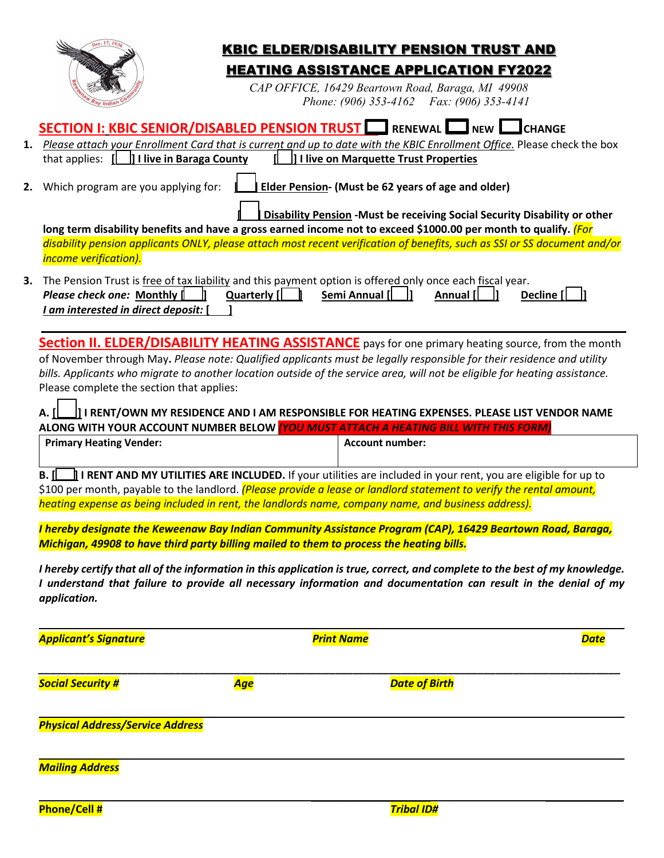|                                                                                                                                                                                                                                                                                                                                                                                                                                   |             | <b>KBIC ELDER/DISABILITY PENSION TRUST AND</b>                                                    |                                                                                                                                                                                                                                                 |
|-----------------------------------------------------------------------------------------------------------------------------------------------------------------------------------------------------------------------------------------------------------------------------------------------------------------------------------------------------------------------------------------------------------------------------------|-------------|---------------------------------------------------------------------------------------------------|-------------------------------------------------------------------------------------------------------------------------------------------------------------------------------------------------------------------------------------------------|
|                                                                                                                                                                                                                                                                                                                                                                                                                                   |             | <b>HEATING ASSISTANCE APPLICATION FY2022</b><br>CAP OFFICE, 16429 Beartown Road, Baraga, MI 49908 |                                                                                                                                                                                                                                                 |
|                                                                                                                                                                                                                                                                                                                                                                                                                                   |             | Phone: (906) 353-4162 Fax: (906) 353-4141                                                         |                                                                                                                                                                                                                                                 |
| SECTION I: KBIC SENIOR/DISABLED PENSION TRUST                                                                                                                                                                                                                                                                                                                                                                                     |             | <b>RENEWAL I NEW I</b>                                                                            | <b>CHANGE</b>                                                                                                                                                                                                                                   |
| that applies: $[\Box]$ I live in Baraga County                                                                                                                                                                                                                                                                                                                                                                                    |             | I live on Marquette Trust Properties                                                              | 1. Please attach your Enrollment Card that is current and up to date with the KBIC Enrollment Office. Please check the box                                                                                                                      |
| 2. Which program are you applying for:                                                                                                                                                                                                                                                                                                                                                                                            |             | Elder Pension- (Must be 62 years of age and older)                                                |                                                                                                                                                                                                                                                 |
| long term disability benefits and have a gross earned income not to exceed \$1000.00 per month to qualify. (For                                                                                                                                                                                                                                                                                                                   |             |                                                                                                   | <b>Disability Pension - Must be receiving Social Security Disability or other</b>                                                                                                                                                               |
| <i>income verification).</i>                                                                                                                                                                                                                                                                                                                                                                                                      |             |                                                                                                   | disability pension applicants ONLY, please attach most recent verification of benefits, such as SSI or SS document and/or                                                                                                                       |
| The Pension Trust is free of tax liability and this payment option is offered only once each fiscal year.<br>Please check one: Monthly [<br>I am interested in direct deposit:                                                                                                                                                                                                                                                    | Quarterly [ | Semi Annual [                                                                                     | Annual [<br>Decline [                                                                                                                                                                                                                           |
| of November through May. Please note: Qualified applicants must be legally responsible for their residence and utility<br>bills. Applicants who migrate to another location outside of the service area, will not be eligible for heating assistance.<br>Please complete the section that applies:                                                                                                                                |             |                                                                                                   | <b>Section II. ELDER/DISABILITY HEATING ASSISTANCE</b> pays for one primary heating source, from the month                                                                                                                                      |
| A. II<br>ALONG WITH YOUR ACCOUNT NUMBER BELOW YOU MUST ATTACH A HEATING BILL WITH THIS FORM)                                                                                                                                                                                                                                                                                                                                      |             |                                                                                                   | $\rfloor$ ] I RENT/OWN MY RESIDENCE AND I AM RESPONSIBLE FOR HEATING EXPENSES. PLEASE LIST VENDOR NAME                                                                                                                                          |
| <b>Primary Heating Vender:</b>                                                                                                                                                                                                                                                                                                                                                                                                    |             | <b>Account number:</b>                                                                            |                                                                                                                                                                                                                                                 |
| <b>B.</b> $\left[\begin{matrix}\begin{matrix}\end{matrix}\end{matrix}\right]$ <b>I RENT AND MY UTILITIES ARE INCLUDED.</b> If your utilities are included in your rent, you are eligible for up to<br>\$100 per month, payable to the landlord. (Please provide a lease or landlord statement to verify the rental amount,<br>heating expense as being included in rent, the landlords name, company name, and business address). |             |                                                                                                   |                                                                                                                                                                                                                                                 |
|                                                                                                                                                                                                                                                                                                                                                                                                                                   |             |                                                                                                   | I hereby designate the Keweenaw Bay Indian Community Assistance Program (CAP), 16429 Beartown Road, Baraga,                                                                                                                                     |
| Michigan, 49908 to have third party billing mailed to them to process the heating bills.                                                                                                                                                                                                                                                                                                                                          |             |                                                                                                   |                                                                                                                                                                                                                                                 |
| application.                                                                                                                                                                                                                                                                                                                                                                                                                      |             |                                                                                                   | I hereby certify that all of the information in this application is true, correct, and complete to the best of my knowledge.<br>I understand that failure to provide all necessary information and documentation can result in the denial of my |
| <b>Applicant's Signature</b>                                                                                                                                                                                                                                                                                                                                                                                                      |             | <b>Print Name</b>                                                                                 | <b>Date</b>                                                                                                                                                                                                                                     |
| <b>Social Security #</b>                                                                                                                                                                                                                                                                                                                                                                                                          | Age         | <b>Date of Birth</b>                                                                              |                                                                                                                                                                                                                                                 |
| <b>Physical Address/Service Address</b>                                                                                                                                                                                                                                                                                                                                                                                           |             |                                                                                                   |                                                                                                                                                                                                                                                 |
| <b>Mailing Address</b>                                                                                                                                                                                                                                                                                                                                                                                                            |             |                                                                                                   |                                                                                                                                                                                                                                                 |
|                                                                                                                                                                                                                                                                                                                                                                                                                                   |             |                                                                                                   |                                                                                                                                                                                                                                                 |
| Phone/Cell #                                                                                                                                                                                                                                                                                                                                                                                                                      |             | <b>Tribal ID#</b>                                                                                 |                                                                                                                                                                                                                                                 |